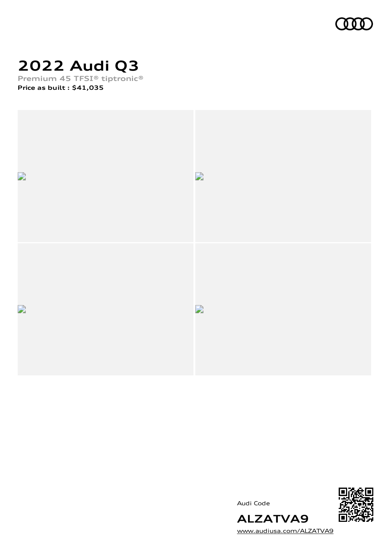

# **2022 Audi Q3**

**Premium 45 TFSI® tiptronic® Price as built [:](#page-10-0) \$41,035**



Audi Code



[www.audiusa.com/ALZATVA9](https://www.audiusa.com/ALZATVA9)

**ALZATVA9**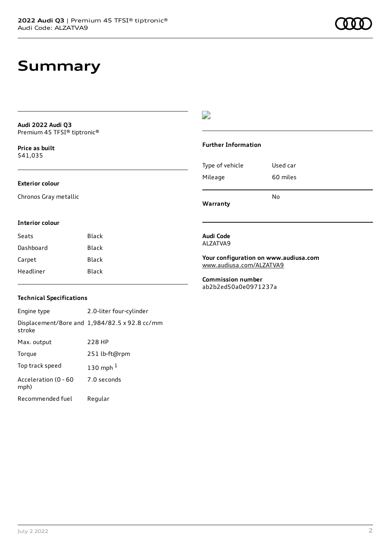### **Summary**

**Audi 2022 Audi Q3** Premium 45 TFSI® tiptronic®

**Price as buil[t](#page-10-0)** \$41,035

#### **Exterior colour**

**Interior colour**

Chronos Gray metallic

Seats Black Dashboard Black Carpet Black Headliner Black

#### D

#### **Further Information**

Type of vehicle Used car Mileage 60 miles No

**Warranty**

### **Audi Code**

ALZATVA9

**Your configuration on www.audiusa.com** [www.audiusa.com/ALZATVA9](https://www.audiusa.com/ALZATVA9)

**Commission number** ab2b2ed50a0e0971237a

#### **Technical Specifications**

Engine type 2.0-liter four-cylinder Displacement/Bore and 1,984/82.5 x 92.8 cc/mm stroke Max. output 228 HP Torque 251 lb-ft@rpm Top track speed [1](#page-10-0)30 mph $<sup>1</sup>$ </sup> Acceleration (0 - 60 mph) 7.0 seconds Recommended fuel Regular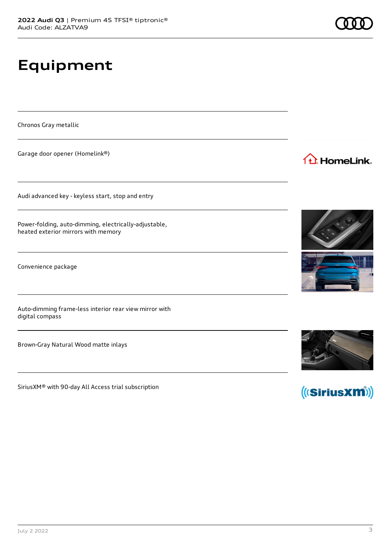**Equipment**

Chronos Gray metallic

Garage door opener (Homelink®)

Audi advanced key - keyless start, stop and entry

Power-folding, auto-dimming, electrically-adjustable, heated exterior mirrors with memory

Convenience package

Auto-dimming frame-less interior rear view mirror with digital compass

Brown-Gray Natural Wood matte inlays

SiriusXM® with 90-day All Access trial subscription







(((SiriusXM))





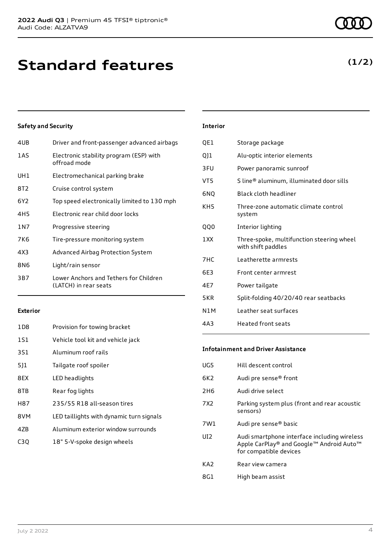| 4UB   | Driver and front-passenger advanced airbags                     |
|-------|-----------------------------------------------------------------|
| 1AS   | Electronic stability program (ESP) with<br>offroad mode         |
| UH1   | Electromechanical parking brake                                 |
| 8T2   | Cruise control system                                           |
| 6Y2   | Top speed electronically limited to 130 mph                     |
| 4H5   | Electronic rear child door locks                                |
| 1 N 7 | Progressive steering                                            |
| 7K6   | Tire-pressure monitoring system                                 |
| 4X3   | Advanced Airbag Protection System                               |
| 8N6   | Light/rain sensor                                               |
| 3B7   | Lower Anchors and Tethers for Children<br>(LATCH) in rear seats |
|       |                                                                 |

#### **Exterior**

| 1D <sub>8</sub>  | Provision for towing bracket             |
|------------------|------------------------------------------|
| <b>1S1</b>       | Vehicle tool kit and vehicle jack        |
| 3S1              | Aluminum roof rails                      |
| 5]1              | Tailgate roof spoiler                    |
| 8EX              | LED headlights                           |
| 8TB              | Rear fog lights                          |
| H87              | 235/55 R18 all-season tires              |
| 8VM              | LED taillights with dynamic turn signals |
| 47 <sub>B</sub>  | Aluminum exterior window surrounds       |
| C <sub>3</sub> Q | 18" 5-V-spoke design wheels              |

| QE1 | Storage package                                                 |
|-----|-----------------------------------------------------------------|
| Q]1 | Alu-optic interior elements                                     |
| 3FU | Power panoramic sunroof                                         |
| VT5 | S line® aluminum, illuminated door sills                        |
| 6NQ | <b>Black cloth headliner</b>                                    |
| KH5 | Three-zone automatic climate control<br>system                  |
| QQ0 | Interior lighting                                               |
| 1XX | Three-spoke, multifunction steering wheel<br>with shift paddles |
| 7HC | Leatherette armrests                                            |
| 6E3 | Front center armrest                                            |
| 4E7 | Power tailgate                                                  |
| 5KR | Split-folding 40/20/40 rear seatbacks                           |
| N1M | Leather seat surfaces                                           |
|     |                                                                 |
| 4A3 | Heated front seats                                              |

#### **Infotainment and Driver Assistance**

| UG5             | Hill descent control                                                                                               |
|-----------------|--------------------------------------------------------------------------------------------------------------------|
| 6K2.            | Audi pre sense <sup>®</sup> front                                                                                  |
| 2H6             | Audi drive select                                                                                                  |
| 7X2             | Parking system plus (front and rear acoustic<br>sensors)                                                           |
| 7W1             | Audi pre sense <sup>®</sup> basic                                                                                  |
| UI <sub>2</sub> | Audi smartphone interface including wireless<br>Apple CarPlay® and Google™ Android Auto™<br>for compatible devices |
| KA2             | Rear view camera                                                                                                   |
| 8G1             | High beam assist                                                                                                   |

**(1/2)**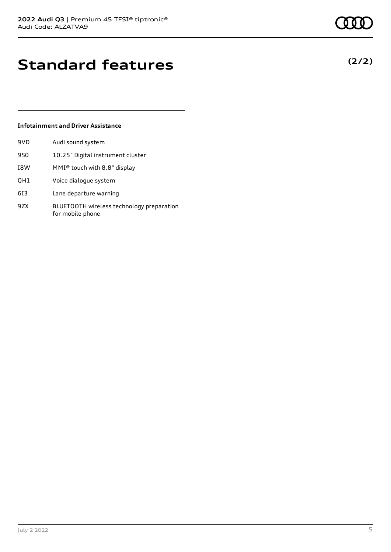## **Standard features**

#### **Infotainment and Driver Assistance**

9VD Audi sound system

| 9S0 | 10.25" Digital instrument cluster |
|-----|-----------------------------------|
| I8W | MMI® touch with 8.8" display      |
| QH1 | Voice dialogue system             |
| 613 | Lane departure warning            |

9ZX BLUETOOTH wireless technology preparation for mobile phone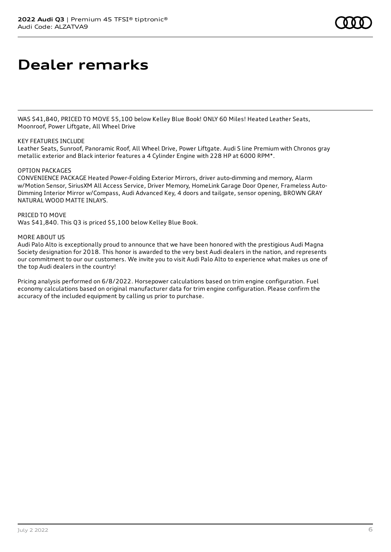# **Dealer remarks**

WAS \$41,840, PRICED TO MOVE \$5,100 below Kelley Blue Book! ONLY 60 Miles! Heated Leather Seats, Moonroof, Power Liftgate, All Wheel Drive

#### KEY FEATURES INCLUDE

Leather Seats, Sunroof, Panoramic Roof, All Wheel Drive, Power Liftgate. Audi S line Premium with Chronos gray metallic exterior and Black interior features a 4 Cylinder Engine with 228 HP at 6000 RPM\*.

#### OPTION PACKAGES

CONVENIENCE PACKAGE Heated Power-Folding Exterior Mirrors, driver auto-dimming and memory, Alarm w/Motion Sensor, SiriusXM All Access Service, Driver Memory, HomeLink Garage Door Opener, Frameless Auto-Dimming Interior Mirror w/Compass, Audi Advanced Key, 4 doors and tailgate, sensor opening, BROWN GRAY NATURAL WOOD MATTE INLAYS.

PRICED TO MOVE

Was \$41,840. This Q3 is priced \$5,100 below Kelley Blue Book.

#### MORE ABOUT US

Audi Palo Alto is exceptionally proud to announce that we have been honored with the prestigious Audi Magna Society designation for 2018. This honor is awarded to the very best Audi dealers in the nation, and represents our commitment to our our customers. We invite you to visit Audi Palo Alto to experience what makes us one of the top Audi dealers in the country!

Pricing analysis performed on 6/8/2022. Horsepower calculations based on trim engine configuration. Fuel economy calculations based on original manufacturer data for trim engine configuration. Please confirm the accuracy of the included equipment by calling us prior to purchase.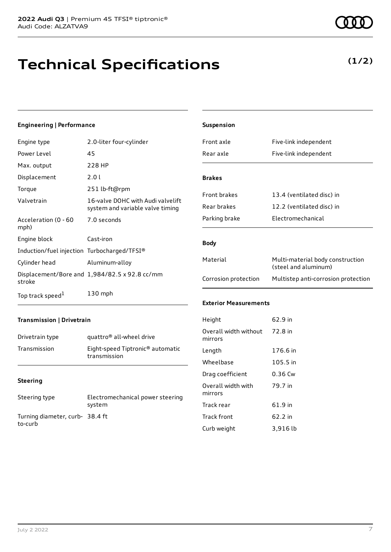## **Technical Specifications**

#### **Engineering | Performance**

**Transmission | Drivetrain**

Turning diameter, curb-38.4 ft

Drivetrain type quattro<sup>®</sup> all-wheel drive

Transmission Eight-speed Tiptronic® automatic transmission

Steering type Electromechanical power steering system

| Engine type                                 | 2.0-liter four-cylinder                                               |
|---------------------------------------------|-----------------------------------------------------------------------|
| Power Level                                 | 45                                                                    |
| Max. output                                 | 228 HP                                                                |
| Displacement                                | 2.0 L                                                                 |
| Torque                                      | 251 lb-ft@rpm                                                         |
| Valvetrain                                  | 16-valve DOHC with Audi valvelift<br>system and variable valve timing |
| Acceleration (0 - 60<br>mph)                | 7.0 seconds                                                           |
| Engine block                                | Cast-iron                                                             |
| Induction/fuel injection Turbocharged/TFSI® |                                                                       |
| Cylinder head                               | Aluminum-alloy                                                        |
| stroke                                      | Displacement/Bore and 1,984/82.5 x 92.8 cc/mm                         |
| Top track speed <sup>1</sup>                | 130 mph                                                               |

| Suspension                       |                                                          |
|----------------------------------|----------------------------------------------------------|
| Front axle                       | Five-link independent                                    |
| Rear axle                        | Five-link independent                                    |
| <b>Brakes</b>                    |                                                          |
| <b>Front brakes</b>              | 13.4 (ventilated disc) in                                |
| Rear brakes                      | 12.2 (ventilated disc) in                                |
| Parking brake                    | Electromechanical                                        |
| <b>Body</b>                      |                                                          |
|                                  |                                                          |
| Material                         | Multi-material body construction<br>(steel and aluminum) |
| Corrosion protection             | Multistep anti-corrosion protection                      |
| <b>Exterior Measurements</b>     |                                                          |
| Height                           | 62.9 in                                                  |
| Overall width without<br>mirrors | 72.8 in                                                  |
| Length                           | 176.6 in                                                 |
| Wheelbase                        | 105.5 in                                                 |
| Drag coefficient                 | 0.36 Cw                                                  |
| Overall width with<br>mirrors    | 79.7 in                                                  |
| Track rear                       | 61.9 in                                                  |
| <b>Track front</b>               | 62.2 in                                                  |

Curb weight 3,916 lb

**Steering**

to-curb

### **(1/2)**

| ı |  |
|---|--|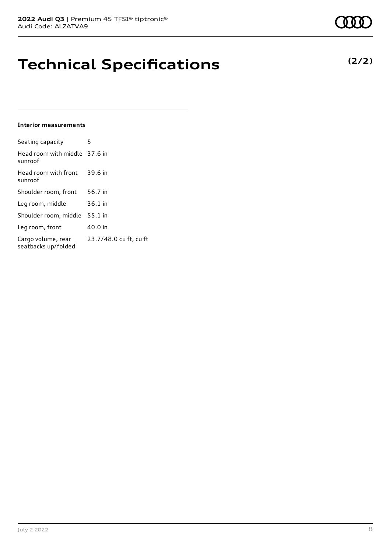## **Technical Specifications**

#### **Interior measurements**

| Seating capacity                          | 5                      |
|-------------------------------------------|------------------------|
| Head room with middle 37.6 in<br>sunroof  |                        |
| Head room with front<br>sunroof           | 39.6 in                |
| Shoulder room, front                      | 56.7 in                |
| Leg room, middle                          | 36.1 in                |
| Shoulder room, middle                     | 55.1 in                |
| Leg room, front                           | 40.0 in                |
| Cargo volume, rear<br>seatbacks up/folded | 23.7/48.0 cu ft, cu ft |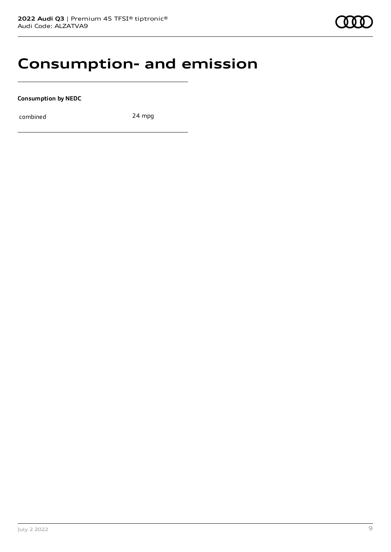### **Consumption- and emission**

**Consumption by NEDC**

combined 24 mpg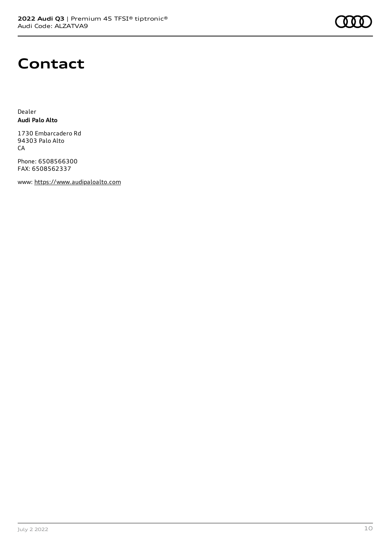

### **Contact**

Dealer **Audi Palo Alto**

1730 Embarcadero Rd 94303 Palo Alto CA

Phone: 6508566300 FAX: 6508562337

www: [https://www.audipaloalto.com](https://www.audipaloalto.com/)